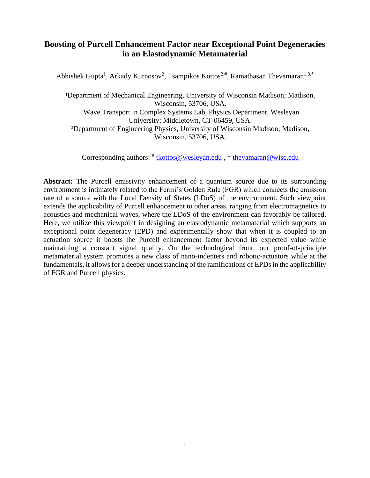## **Boosting of Purcell Enhancement Factor near Exceptional Point Degeneracies in an Elastodynamic Metamaterial**

Abhishek Gupta<sup>1</sup>, Arkady Kurnosov<sup>2</sup>, Tsampikos Kottos<sup>2,#</sup>, Ramathasan Thevamaran<sup>1,3,\*</sup>

<sup>1</sup>Department of Mechanical Engineering, University of Wisconsin Madison; Madison, Wisconsin, 53706, USA. <sup>2</sup>Wave Transport in Complex Systems Lab, Physics Department, Wesleyan University; Middletown, CT-06459, USA. <sup>3</sup>Department of Engineering Physics, University of Wisconsin Madison; Madison, Wisconsin, 53706, USA.

Corresponding authors:  $\frac{d}{dx}$  [tkottos@wesleyan.edu](mailto:tkottos@wesleyan.edu),  $\frac{d}{dx}$  [thevamaran@wisc.edu](mailto:thevamaran@wisc.edu)

**Abstract:** The Purcell emissivity enhancement of a quantum source due to its surrounding environment is intimately related to the Fermi's Golden Rule (FGR) which connects the emission rate of a source with the Local Density of States (LDoS) of the environment. Such viewpoint extends the applicability of Purcell enhancement to other areas, ranging from electromagnetics to acoustics and mechanical waves, where the LDoS of the environment can favorably be tailored. Here, we utilize this viewpoint in designing an elastodynamic metamaterial which supports an exceptional point degeneracy (EPD) and experimentally show that when it is coupled to an actuation source it boosts the Purcell enhancement factor beyond its expected value while maintaining a constant signal quality. On the technological front, our proof-of-principle metamaterial system promotes a new class of nano-indenters and robotic-actuators while at the fundamentals, it allows for a deeper understanding of the ramifications of EPDs in the applicability of FGR and Purcell physics.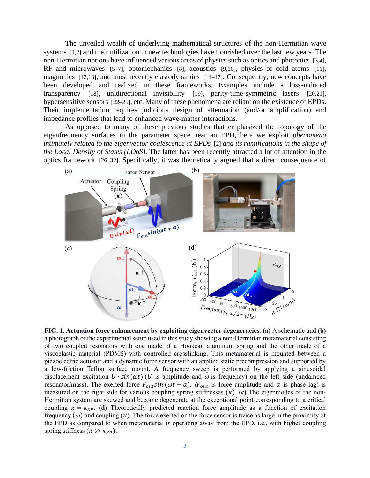The unveiled wealth of underlying mathematical structures of the non-Hermitian wave systems [1,2] and their utilization in new technologies have flourished over the last few years. The non-Hermitian notions have influenced various areas of physics such as optics and photonics [3,4], RF and microwaves [5–7], optomechanics [8], acoustics [9,10], physics of cold atoms [11], magnonics [12,13], and most recently elastodynamics [14–17]. Consequently, new concepts have been developed and realized in these frameworks. Examples include a loss-induced transparency [18], unidirectional invisibility [19], parity-time-symmetric lasers [20,21], hypersensitive sensors [22–25], etc. Many of these phenomena are reliant on the existence of EPDs. Their implementation requires judicious design of attenuation (and/or amplification) and impedance profiles that lead to enhanced wave-matter interactions.

As opposed to many of these previous studies that emphasized the topology of the eigenfrequency surfaces in the parameter space near an EPD, here we exploit *phenomena intimately related to the eigenvector coalescence at EPDs* [2] *and its ramifications in the shape of the Local Density of States (LDoS)*. The latter has been recently attracted a lot of attention in the optics framework [26–32]. Specifically, it was theoretically argued that a direct consequence of



**FIG. 1. Actuation force enhancement by exploiting eigenvector degeneracies. (a)** A schematic and **(b)** a photograph of the experimental setup used in this study showing a non-Hermitian metamaterial consisting of two coupled resonators with one made of a Hookean aluminum spring and the other made of a viscoelastic material (PDMS) with controlled crosslinking. This metamaterial is mounted between a piezoelectric actuator and a dynamic force sensor with an applied static precompression and supported by a low-friction Teflon surface mount. A frequency sweep is performed by applying a sinusoidal displacement excitation  $U \cdot \sin(\omega t)$  (U is amplitude and  $\omega$  is frequency) on the left side (undamped resonator/mass). The exerted force  $F_{out} \sin(\omega t + \alpha)$ , ( $F_{out}$  is force amplitude and  $\alpha$  is phase lag) is measured on the right side for various coupling spring stiffnesses  $(\kappa)$ . **(c)** The eigenmodes of the non-Hermitian system are skewed and become degenerate at the exceptional point corresponding to a critical coupling  $\kappa = \kappa_{EP}$ . (d) Theoretically predicted reaction force amplitude as a function of excitation frequency  $(\omega)$  and coupling  $(\kappa)$ . The force exerted on the force sensor is twice as large in the proximity of the EPD as compared to when metamaterial is operating away from the EPD, i.e., with higher coupling spring stiffness  $(\kappa \gg \kappa_{EP})$ .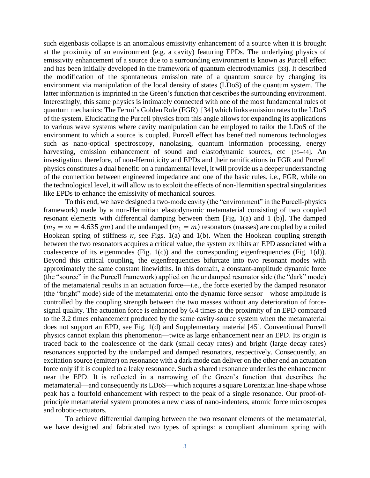such eigenbasis collapse is an anomalous emissivity enhancement of a source when it is brought at the proximity of an environment (e.g. a cavity) featuring EPDs. The underlying physics of emissivity enhancement of a source due to a surrounding environment is known as Purcell effect and has been initially developed in the framework of quantum electrodynamics [33]. It described the modification of the spontaneous emission rate of a quantum source by changing its environment via manipulation of the local density of states (LDoS) of the quantum system. The latter information is imprinted in the Green's function that describes the surrounding environment. Interestingly, this same physics is intimately connected with one of the most fundamental rules of quantum mechanics: The Fermi's Golden Rule (FGR) [34] which links emission rates to the LDoS of the system. Elucidating the Purcell physics from this angle allows for expanding its applications to various wave systems where cavity manipulation can be employed to tailor the LDoS of the environment to which a source is coupled. Purcell effect has benefitted numerous technologies such as nano-optical spectroscopy, nanolasing, quantum information processing, energy harvesting, emission enhancement of sound and elastodynamic sources, etc [35–44]. An investigation, therefore, of non-Hermiticity and EPDs and their ramifications in FGR and Purcell physics constitutes a dual benefit: on a fundamental level, it will provide us a deeper understanding of the connection between engineered impedance and one of the basic rules, i.e., FGR, while on the technological level, it will allow us to exploit the effects of non-Hermitian spectral singularities like EPDs to enhance the emissivity of mechanical sources.

To this end, we have designed a two-mode cavity (the "environment" in the Purcell-physics framework) made by a non-Hermitian elastodynamic metamaterial consisting of two coupled resonant elements with differential damping between them [Fig. 1(a) and 1 (b)]. The damped  $(m_2 = m = 4.635$  gm) and the undamped  $(m_1 = m)$  resonators (masses) are coupled by a coiled Hookean spring of stiffness  $\kappa$ , see Figs. 1(a) and 1(b). When the Hookean coupling strength between the two resonators acquires a critical value, the system exhibits an EPD associated with a coalescence of its eigenmodes (Fig. 1(c)) and the corresponding eigenfrequencies (Fig. 1(d)). Beyond this critical coupling, the eigenfrequencies bifurcate into two resonant modes with approximately the same constant linewidths. In this domain, a constant-amplitude dynamic force (the "source" in the Purcell framework) applied on the undamped resonator side (the "dark" mode) of the metamaterial results in an actuation force—i.e., the force exerted by the damped resonator (the "bright" mode) side of the metamaterial onto the dynamic force sensor—whose amplitude is controlled by the coupling strength between the two masses without any deterioration of forcesignal quality. The actuation force is enhanced by 6.4 times at the proximity of an EPD compared to the 3.2 times enhancement produced by the same cavity-source system when the metamaterial does not support an EPD, see Fig. 1(d) and Supplementary material [45]. Conventional Purcell physics cannot explain this phenomenon—twice as large enhancement near an EPD. Its origin is traced back to the coalescence of the dark (small decay rates) and bright (large decay rates) resonances supported by the undamped and damped resonators, respectively. Consequently, an excitation source (emitter) on resonance with a dark mode can deliver on the other end an actuation force only if it is coupled to a leaky resonance. Such a shared resonance underlies the enhancement near the EPD. It is reflected in a narrowing of the Green's function that describes the metamaterial—and consequently its LDoS—which acquires a square Lorentzian line-shape whose peak has a fourfold enhancement with respect to the peak of a single resonance. Our proof-ofprinciple metamaterial system promotes a new class of nano-indenters, atomic force microscopes and robotic-actuators.

To achieve differential damping between the two resonant elements of the metamaterial, we have designed and fabricated two types of springs: a compliant aluminum spring with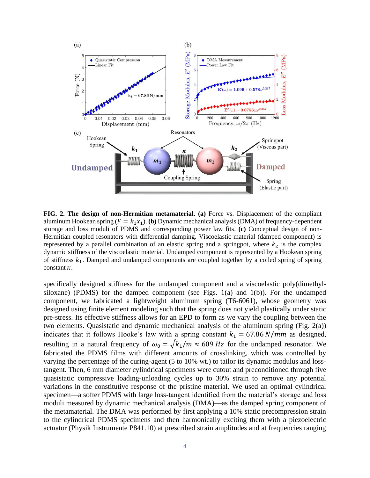

**FIG. 2. The design of non-Hermitian metamaterial. (a)** Force vs. Displacement of the compliant aluminum Hookean spring  $(F = k_1x_1)$ . **(b)** Dynamic mechanical analysis (DMA) of frequency-dependent storage and loss moduli of PDMS and corresponding power law fits. **(c)** Conceptual design of non-Hermitian coupled resonators with differential damping. Viscoelastic material (damped component) is represented by a parallel combination of an elastic spring and a springpot, where  $k_2$  is the complex dynamic stiffness of the viscoelastic material. Undamped component is represented by a Hookean spring of stiffness  $k_1$ . Damped and undamped components are coupled together by a coiled spring of spring constant  $\kappa$ .

specifically designed stiffness for the undamped component and a viscoelastic poly(dimethylsiloxane) (PDMS) for the damped component (see Figs. 1(a) and 1(b)). For the undamped component, we fabricated a lightweight aluminum spring (T6-6061), whose geometry was designed using finite element modeling such that the spring does not yield plastically under static pre-stress. Its effective stiffness allows for an EPD to form as we vary the coupling between the two elements. Quasistatic and dynamic mechanical analysis of the aluminum spring (Fig. 2(a)) indicates that it follows Hooke's law with a spring constant  $k_1 = 67.86 N/mm$  as designed, resulting in a natural frequency of  $\omega_0 = \sqrt{k_1/m} \approx 609 Hz$  for the undamped resonator. We fabricated the PDMS films with different amounts of crosslinking, which was controlled by varying the percentage of the curing-agent (5 to 10% wt.) to tailor its dynamic modulus and losstangent. Then, 6 mm diameter cylindrical specimens were cutout and preconditioned through five quasistatic compressive loading-unloading cycles up to 30% strain to remove any potential variations in the constitutive response of the pristine material. We used an optimal cylindrical specimen—a softer PDMS with large loss-tangent identified from the material's storage and loss moduli measured by dynamic mechanical analysis (DMA)—as the damped spring component of the metamaterial. The DMA was performed by first applying a 10% static precompression strain to the cylindrical PDMS specimens and then harmonically exciting them with a piezoelectric actuator (Physik Instrumente P841.10) at prescribed strain amplitudes and at frequencies ranging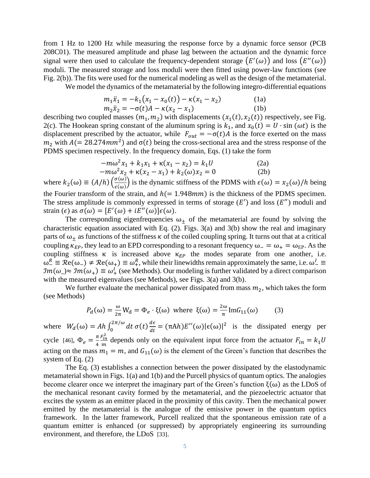from 1 Hz to 1200 Hz while measuring the response force by a dynamic force sensor (PCB 208C01). The measured amplitude and phase lag between the actuation and the dynamic force signal were then used to calculate the frequency-dependent storage  $(E'(\omega))$  and loss  $(E''(\omega))$ moduli. The measured storage and loss moduli were then fitted using power-law functions (see Fig. 2(b)). The fits were used for the numerical modeling as well as the design of the metamaterial.

We model the dynamics of the metamaterial by the following integro-differential equations

$$
m_1\ddot{x}_1 = -k_1(x_1 - x_0(t)) - \kappa(x_1 - x_2)
$$
\n
$$
m_2\ddot{x}_2 = -\sigma(t)A - \kappa(x_2 - x_1)
$$
\n(1b)

describing two coupled masses  $(m_1, m_2)$  with displacements  $(x_1(t), x_2(t))$  respectively, see Fig. 2(c). The Hookean spring constant of the aluminum spring is  $k_1$ , and  $x_0(t) = U \cdot \sin(\omega t)$  is the displacement prescribed by the actuator, while  $F_{out} = -\sigma(t)A$  is the force exerted on the mass  $m_2$  with  $A (= 28.274mm^2)$  and  $\sigma(t)$  being the cross-sectional area and the stress response of the PDMS specimen respectively. In the frequency domain, Eqs. (1) take the form

$$
-m\omega^{2} x_{1} + k_{1} x_{1} + \kappa(x_{1} - x_{2}) = k_{1} U
$$
 (2a)

$$
-m\omega^{2} x_{2} + \kappa(x_{2} - x_{1}) + k_{2}(\omega)x_{2} = 0
$$
 (2b)

where  $k_2(\omega) \equiv (A/h) \left( \frac{\sigma(\omega)}{\epsilon(\omega)} \right)$  $\frac{\partial(\omega)}{\partial(\epsilon(\omega))}$  is the dynamic stiffness of the PDMS with  $\epsilon(\omega) = x_2(\omega)/h$  being the Fourier transform of the strain, and  $h(= 1.948mm)$  is the thickness of the PDMS specimen. The stress amplitude is commonly expressed in terms of storage  $(E')$  and loss  $(E'')$  moduli and strain  $(\epsilon)$  as  $\sigma(\omega) = [E'(\omega) + iE''(\omega)]\epsilon(\omega)$ .

The corresponding eigenfrequencies  $\omega_+$  of the metamaterial are found by solving the characteristic equation associated with Eq.  $(2)$ . Figs. 3(a) and 3(b) show the real and imaginary parts of  $\omega_+$  as functions of the stiffness  $\kappa$  of the coiled coupling spring. It turns out that at a critical coupling  $\kappa_{EP}$ , they lead to an EPD corresponding to a resonant frequency  $\omega_-=\omega_+=\omega_{EP}$ . As the coupling stiffness κ is increased above  $\kappa_{EP}$  the modes separate from one another, i.e.  $\omega_{-}^R \equiv \mathcal{R}e(\omega_{-}) \neq \mathcal{R}e(\omega_{+}) \equiv \omega_{+}^R$ , while their linewidths remain approximately the same, i.e.  $\omega_{-}^I \equiv$  $\Im m(\omega) \approx \Im m(\omega_+) \equiv \omega_+^I$  (see Methods). Our modeling is further validated by a direct comparison with the measured eigenvalues (see Methods), see Figs. 3(a) and 3(b).

We further evaluate the mechanical power dissipated from mass  $m_2$ , which takes the form (see Methods)

$$
P_d(\omega) = \frac{\omega}{2\pi} W_d = \Phi_e \cdot \xi(\omega) \text{ where } \xi(\omega) = \frac{2\omega}{\pi} \text{Im} G_{11}(\omega) \tag{3}
$$

where  $W_d(\omega) = Ah \int_0^{2\pi/\omega} dt \sigma(t) \frac{d\epsilon}{dt}$  $dt$  $2\pi/\omega$  $\int_0^{2\pi/\omega} dt \sigma(t) \frac{d\epsilon}{dt} = (\pi Ah) E''(\omega) |\epsilon(\omega)|^2$  is the dissipated energy per cycle [46],  $\Phi_e = \frac{\pi}{4}$ 4  $F_{in}^2$  $\frac{a_{in}}{m}$  depends only on the equivalent input force from the actuator  $F_{in} = k_1 U$ acting on the mass  $m_1 = m$ , and  $G_{11}(\omega)$  is the element of the Green's function that describes the system of Eq. (2)

The Eq. (3) establishes a connection between the power dissipated by the elastodynamic metamaterial shown in Figs. 1(a) and 1(b) and the Purcell physics of quantum optics. The analogies become clearer once we interpret the imaginary part of the Green's function  $\xi(\omega)$  as the LDoS of the mechanical resonant cavity formed by the metamaterial, and the piezoelectric actuator that excites the system as an emitter placed in the proximity of this cavity. Then the mechanical power emitted by the metamaterial is the analogue of the emissive power in the quantum optics framework. In the latter framework, Purcell realized that the spontaneous emission rate of a quantum emitter is enhanced (or suppressed) by appropriately engineering its surrounding environment, and therefore, the LDoS [33].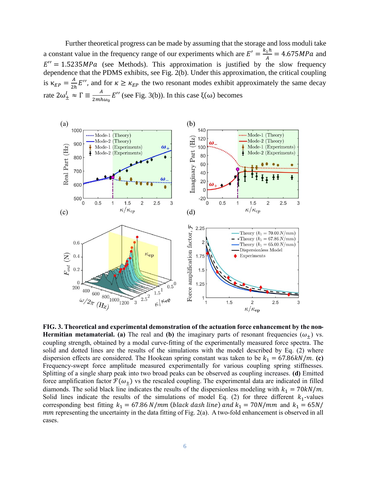Further theoretical progress can be made by assuming that the storage and loss moduli take a constant value in the frequency range of our experiments which are  $E' = \frac{k_1 h}{4}$  $\frac{1}{4}$ <sup>1</sup> = 4.675*MPa* and  $E'' = 1.5235 MPa$  (see Methods). This approximation is justified by the slow frequency dependence that the PDMS exhibits, see Fig. 2(b). Under this approximation, the critical coupling is  $\kappa_{EP} = \frac{A}{2R}$  $\frac{A}{2h}E''$ , and for  $\kappa \geq \kappa_{EP}$  the two resonant modes exhibit approximately the same decay rate  $2\omega_{\pm}^I \approx \Gamma \equiv \frac{A}{2m h}$  $\frac{A}{2m\hbar\omega_0}E^{\prime\prime}$  (see Fig. 3(b)). In this case  $\xi(\omega)$  becomes



**FIG. 3. Theoretical and experimental demonstration of the actuation force enhancement by the non-Hermitian metamaterial. (a)** The real and (b) the imaginary parts of resonant frequencies  $(\omega_{+})$  vs. coupling strength, obtained by a modal curve-fitting of the experimentally measured force spectra. The solid and dotted lines are the results of the simulations with the model described by Eq. (2) where dispersion effects are considered. The Hookean spring constant was taken to be  $k_1 = 67.86 \frac{kN}{m}$ . (c) Frequency-swept force amplitude measured experimentally for various coupling spring stiffnesses. Splitting of a single sharp peak into two broad peaks can be observed as coupling increases. **(d)** Emitted force amplification factor  $\mathcal{F}(\omega_+)$  vs the rescaled coupling. The experimental data are indicated in filled diamonds. The solid black line indicates the results of the dispersionless modeling with  $k_1 = 70kN/m$ . Solid lines indicate the results of the simulations of model Eq. (2) for three different  $k_1$ -values corresponding best fitting  $k_1 = 67.86 \text{ N/mm}$  (black dash line) and  $k_1 = 70 \text{ N/mm}$  and  $k_1 = 65 \text{ N/m}$  $mm$  representing the uncertainty in the data fitting of Fig. 2(a). A two-fold enhancement is observed in all cases.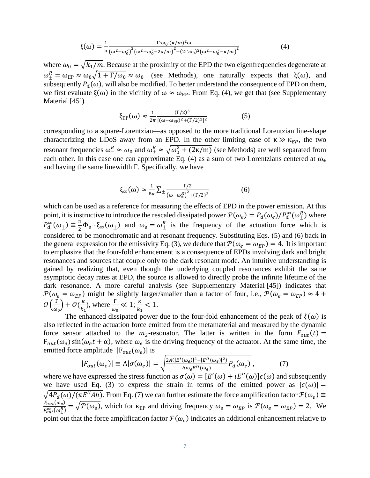$$
\xi(\omega) = \frac{1}{\pi} \frac{\Gamma \cdot \omega_0 \cdot (\kappa/m)^2 \omega}{\left(\omega^2 - \omega_0^2\right)^2 \left(\omega^2 - \omega_0^2 - 2\kappa/m\right)^2 + \left(2\Gamma\omega_0\right)^2 \left(\omega^2 - \omega_0^2 - \kappa/m\right)^2}
$$
(4)

where  $\omega_0 = \sqrt{k_1/m}$ . Because at the proximity of the EPD the two eigenfrequencies degenerate at  $\omega_{\pm}^{R} = \omega_{\rm EP} \approx \omega_0 \sqrt{1 + \Gamma/\omega_0} \approx \omega_0$  (see Methods), one naturally expects that  $\xi(\omega)$ , and subsequently  $P_d(\omega)$ , will also be modified. To better understand the consequence of EPD on them, we first evaluate  $\xi(\omega)$  in the vicinity of  $\omega \approx \omega_{FP}$ . From Eq. (4), we get that (see Supplementary Material [45])

$$
\xi_{EP}(\omega) \approx \frac{1}{2\pi} \frac{(\Gamma/2)^3}{[(\omega - \omega_{EP})^2 + (\Gamma/2)^2]^2} \tag{5}
$$

corresponding to a square-Lorentzian—as opposed to the more traditional Lorentzian line-shape characterizing the LDoS away from an EPD. In the other limiting case of  $\kappa \gg \kappa_{EP}$ , the two resonant frequencies  $\omega_-^R \approx \omega_0$  and  $\omega_+^R \approx \sqrt{\omega_0^2 + (2\kappa/m)}$  (see Methods) are well separated from each other. In this case one can approximate Eq. (4) as a sum of two Lorentzians centered at  $\omega_{\pm}$ and having the same linewidth Γ. Specifically, we have

$$
\xi_{\infty}(\omega) \approx \frac{1}{8\pi} \sum \pm \frac{\Gamma/2}{(\omega - \omega_{\pm}^R)^2 + (\Gamma/2)^2}
$$
(6)

which can be used as a reference for measuring the effects of EPD in the power emission. At this point, it is instructive to introduce the rescaled dissipated power  $\mathcal{P}(\omega_e) = P_d(\omega_e)/P_d^{\infty}(\omega_{\pm}^R)$  where  $P_d^{\infty}(\omega_{\pm}) \equiv \frac{\pi}{2}$  $\frac{\pi}{2} \Phi_e \cdot \xi_\infty(\omega_\pm)$  and  $\omega_e = \omega_\pm^R$  is the frequency of the actuation force which is considered to be monochromatic and at resonant frequency. Substituting Eqs. (5) and (6) back in the general expression for the emissivity Eq. (3), we deduce that  $\mathcal{P}(\omega_e = \omega_{EP}) = 4$ . It is important to emphasize that the four-fold enhancement is a consequence of EPDs involving dark and bright resonances and sources that couple only to the dark resonant mode. An intuitive understanding is gained by realizing that, even though the underlying coupled resonances exhibit the same asymptotic decay rates at EPD, the source is allowed to directly probe the infinite lifetime of the dark resonance. A more careful analysis (see Supplementary Material [45]) indicates that  $\mathcal{P}(\omega_e = \omega_{EP})$  might be slightly larger/smaller than a factor of four, i.e.,  $\mathcal{P}(\omega_e = \omega_{EP}) \approx 4 + \frac{1}{2}$  $\mathcal{O}\left(\frac{\Gamma}{\rho}\right)$  $\left(\frac{\Gamma}{\omega_0}\right) + \mathcal{O}\left(\frac{\kappa}{k_1}\right)$  $\frac{\kappa}{k_1}$ ), where  $\frac{\Gamma}{\omega_0} \ll 1$ ;  $\frac{\kappa}{k_1}$  $\frac{k}{k_1}$  < 1.

The enhanced dissipated power due to the four-fold enhancement of the peak of  $\xi(\omega)$  is also reflected in the actuation force emitted from the metamaterial and measured by the dynamic force sensor attached to the  $m_2$ -resonator. The latter is written in the form  $F_{out}(t)$  =  $F_{out}(\omega_e)$  sin( $\omega_e t + \alpha$ ), where  $\omega_e$  is the driving frequency of the actuator. At the same time, the emitted force amplitude  $|F_{out}(\omega_e)|$  is

$$
|F_{out}(\omega_e)| \equiv A|\sigma(\omega_e)| = \sqrt{\frac{2A(|E'(\omega_e)|^2 + |E''(\omega_e)|^2)}{h\omega_e E''(\omega_e)}} P_d(\omega_e), \tag{7}
$$

where we have expressed the stress function as  $\sigma(\omega) = [E'(\omega) + iE''(\omega)]\epsilon(\omega)$  and subsequently we have used Eq. (3) to express the strain in terms of the emitted power as  $|\epsilon(\omega)| =$  $\sqrt{4P_d(\omega)/(\pi E''}Ah)$ . From Eq. (7) we can further estimate the force amplification factor  $\mathcal{F}(\omega_e) \equiv$  $F_{out}(\omega_e)$  $\frac{F_{out}(\omega_e)}{F_{out}^{\infty}(\omega_{\text{f}}^R)} = \sqrt{\mathcal{P}(\omega_e)}$ , which for  $\kappa_{EP}$  and driving frequency  $\omega_e = \omega_{EP}$  is  $\mathcal{F}(\omega_e = \omega_{EP}) = 2$ . We point out that the force amplification factor  $\mathcal{F}(\omega_e)$  indicates an additional enhancement relative to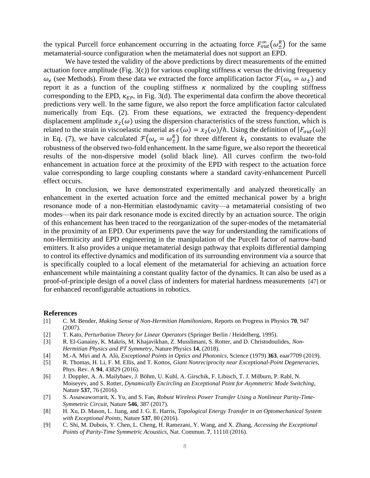the typical Purcell force enhancement occurring in the actuating force  $F_{out}^{\infty}(\omega_{\pm}^{R})$  for the same metamaterial-source configuration when the metamaterial does not support an EPD.

We have tested the validity of the above predictions by direct measurements of the emitted actuation force amplitude (Fig. 3(c)) for various coupling stiffness  $\kappa$  versus the driving frequency  $\omega_e$  (see Methods). From these data we extracted the force amplification factor  $\mathcal{F}(\omega_e = \omega_{\pm})$  and report it as a function of the coupling stiffness  $\kappa$  normalized by the coupling stiffness corresponding to the EPD,  $\kappa_{EP}$ , in Fig. 3(d). The experimental data confirm the above theoretical predictions very well. In the same figure, we also report the force amplification factor calculated numerically from Eqs. (2). From these equations, we extracted the frequency-dependent displacement amplitude  $x_2(\omega)$  using the dispersion characteristics of the stress function, which is related to the strain in viscoelastic material as  $\epsilon(\omega) = x_2(\omega)/h$ . Using the definition of  $|F_{out}(\omega)|$ in Eq. (7), we have calculated  $\mathcal{F}(\omega_e = \omega_{\pm}^R)$  for three different  $k_1$  constants to evaluate the robustness of the observed two-fold enhancement. In the same figure, we also report the theoretical results of the non-dispersive model (solid black line). All curves confirm the two-fold enhancement in actuation force at the proximity of the EPD with respect to the actuation force value corresponding to large coupling constants where a standard cavity-enhancement Purcell effect occurs.

In conclusion, we have demonstrated experimentally and analyzed theoretically an enhancement in the exerted actuation force and the emitted mechanical power by a bright resonance mode of a non-Hermitian elastodynamic cavity—a metamaterial consisting of two modes—when its pair dark resonance mode is excited directly by an actuation source. The origin of this enhancement has been traced to the reorganization of the super-modes of the metamaterial in the proximity of an EPD. Our experiments pave the way for understanding the ramifications of non-Hermiticity and EPD engineering in the manipulation of the Purcell factor of narrow-band emitters. It also provides a unique metamaterial design pathway that exploits differential damping to control its effective dynamics and modification of its surrounding environment via a source that is specifically coupled to a local element of the metamaterial for achieving an actuation force enhancement while maintaining a constant quality factor of the dynamics. It can also be used as a proof-of-principle design of a novel class of indenters for material hardness measurements [47] or for enhanced reconfigurable actuations in robotics.

#### **References**

- [1] C. M. Bender, *Making Sense of Non-Hermitian Hamiltonians*, Reports on Progress in Physics **70**, 947 (2007).
- [2] T. Kato, *Perturbation Theory for Linear Operators* (Springer Berlin / Heidelberg, 1995).
- [3] R. El-Ganainy, K. Makris, M. Khajavikhan, Z. Musslimani, S. Rotter, and D. Christodoulides, *Non-Hermitian Physics and PT Symmetry*, Nature Physics **14**, (2018).
- [4] M.-A. Miri and A. Alù, *Exceptional Points in Optics and Photonics*, Science (1979) **363**, eaar7709 (2019). [5] R. Thomas, H. Li, F. M. Ellis, and T. Kottos, *Giant Nonreciprocity near Exceptional-Point Degeneracies*,
- Phys. Rev. A **94**, 43829 (2016).
- [6] J. Doppler, A. A. Mailybaev, J. Böhm, U. Kuhl, A. Girschik, F. Libisch, T. J. Milburn, P. Rabl, N. Moiseyev, and S. Rotter, *Dynamically Encircling an Exceptional Point for Asymmetric Mode Switching*, Nature **537**, 76 (2016).
- [7] S. Assawaworrarit, X. Yu, and S. Fan, *Robust Wireless Power Transfer Using a Nonlinear Parity-Time-Symmetric Circuit*, Nature **546**, 387 (2017).
- [8] H. Xu, D. Mason, L. Jiang, and J. G. E. Harris, *Topological Energy Transfer in an Optomechanical System with Exceptional Points*, Nature **537**, 80 (2016).
- [9] C. Shi, M. Dubois, Y. Chen, L. Cheng, H. Ramezani, Y. Wang, and X. Zhang, *Accessing the Exceptional Points of Parity-Time Symmetric Acoustics*, Nat. Commun. **7**, 11110 (2016).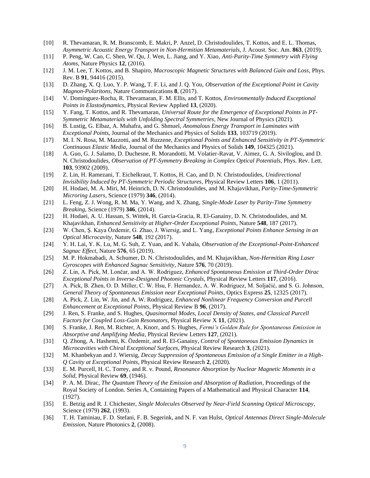- [10] R. Thevamaran, R. M. Branscomb, E. Makri, P. Anzel, D. Christodoulides, T. Kottos, and E. L. Thomas, *Asymmetric Acoustic Energy Transport in Non-Hermitian Metamaterials*, J. Acoust. Soc. Am. **863**, (2019).
- [11] P. Peng, W. Cao, C. Shen, W. Qu, J. Wen, L. Jiang, and Y. Xiao, *Anti-Parity-Time Symmetry with Flying Atoms*, Nature Physics **12**, (2016).
- [12] J. M. Lee, T. Kottos, and B. Shapiro, *Macroscopic Magnetic Structures with Balanced Gain and Loss*, Phys. Rev. B **91**, 94416 (2015).
- [13] D. Zhang, X. Q. Luo, Y. P. Wang, T. F. Li, and J. Q. You, *Observation of the Exceptional Point in Cavity Magnon-Polaritons*, Nature Communications **8**, (2017).
- [14] V. Domínguez-Rocha, R. Thevamaran, F. M. Ellis, and T. Kottos, *Environmentally Induced Exceptional Points in Elastodynamics*, Physical Review Applied **13**, (2020).
- [15] Y. Fang, T. Kottos, and R. Thevamaran, *Universal Route for the Emergence of Exceptional Points in PT-Symmetric Metamaterials with Unfolding Spectral Symmetries*, New Journal of Physics (2021).
- [16] B. Lustig, G. Elbaz, A. Muhafra, and G. Shmuel, *Anomalous Energy Transport in Laminates with Exceptional Points*, Journal of the Mechanics and Physics of Solids **133**, 103719 (2019).
- [17] M. I. N. Rosa, M. Mazzotti, and M. Ruzzene, *Exceptional Points and Enhanced Sensitivity in PT-Symmetric Continuous Elastic Media*, Journal of the Mechanics and Physics of Solids **149**, 104325 (2021).
- [18] A. Guo, G. J. Salamo, D. Duchesne, R. Morandotti, M. Volatier-Ravat, V. Aimez, G. A. Siviloglou, and D. N. Christodoulides, *Observation of PT-Symmetry Breaking in Complex Optical Potentials*, Phys. Rev. Lett. **103**, 93902 (2009).
- [19] Z. Lin, H. Ramezani, T. Eichelkraut, T. Kottos, H. Cao, and D. N. Christodoulides, *Unidirectional Invisibility Induced by PT-Symmetric Periodic Structures*, Physical Review Letters **106**, 1 (2011).
- [20] H. Hodaei, M. A. Miri, M. Heinrich, D. N. Christodoulides, and M. Khajavikhan, *Parity-Time-Symmetric Microring Lasers*, Science (1979) **346**, (2014).
- [21] L. Feng, Z. J. Wong, R. M. Ma, Y. Wang, and X. Zhang, *Single-Mode Laser by Parity-Time Symmetry Breaking*, Science (1979) **346**, (2014).
- [22] H. Hodaei, A. U. Hassan, S. Wittek, H. Garcia-Gracia, R. El-Ganainy, D. N. Christodoulides, and M. Khajavikhan, *Enhanced Sensitivity at Higher-Order Exceptional Points*, Nature **548**, 187 (2017).
- [23] W. Chen, Ş. Kaya Özdemir, G. Zhao, J. Wiersig, and L. Yang, *Exceptional Points Enhance Sensing in an Optical Microcavity*, Nature **548**, 192 (2017).
- [24] Y. H. Lai, Y. K. Lu, M. G. Suh, Z. Yuan, and K. Vahala, *Observation of the Exceptional-Point-Enhanced Sagnac Effect*, Nature **576**, 65 (2019).
- [25] M. P. Hokmabadi, A. Schumer, D. N. Christodoulides, and M. Khajavikhan, *Non-Hermitian Ring Laser Gyroscopes with Enhanced Sagnac Sensitivity*, Nature **576**, 70 (2019).
- [26] Z. Lin, A. Pick, M. Lončar, and A. W. Rodriguez, *Enhanced Spontaneous Emission at Third-Order Dirac Exceptional Points in Inverse-Designed Photonic Crystals*, Physical Review Letters **117**, (2016).
- [27] A. Pick, B. Zhen, O. D. Miller, C. W. Hsu, F. Hernandez, A. W. Rodriguez, M. Soljačić, and S. G. Johnson, *General Theory of Spontaneous Emission near Exceptional Points*, Optics Express **25**, 12325 (2017).
- [28] A. Pick, Z. Lin, W. Jin, and A. W. Rodriguez, *Enhanced Nonlinear Frequency Conversion and Purcell Enhancement at Exceptional Points*, Physical Review B **96**, (2017).
- [29] J. Ren, S. Franke, and S. Hughes, *Quasinormal Modes, Local Density of States, and Classical Purcell Factors for Coupled Loss-Gain Resonators*, Physical Review X **11**, (2021).
- [30] S. Franke, J. Ren, M. Richter, A. Knorr, and S. Hughes, *Fermi's Golden Rule for Spontaneous Emission in Absorptive and Amplifying Media*, Physical Review Letters **127**, (2021).
- [31] Q. Zhong, A. Hashemi, K. Özdemir, and R. El-Ganainy, *Control of Spontaneous Emission Dynamics in Microcavities with Chiral Exceptional Surfaces*, Physical Review Research **3**, (2021).
- [32] M. Khanbekyan and J. Wiersig, *Decay Suppression of Spontaneous Emission of a Single Emitter in a High-Q Cavity at Exceptional Points*, Physical Review Research **2**, (2020).
- [33] E. M. Purcell, H. C. Torrey, and R. v. Pound, *Resonance Absorption by Nuclear Magnetic Moments in a Solid*, Physical Review **69**, (1946).
- [34] P. A. M. Dirac, *The Quantum Theory of the Emission and Absorption of Radiation*, Proceedings of the Royal Society of London. Series A, Containing Papers of a Mathematical and Physical Character **114**, (1927).
- [35] E. Betzig and R. J. Chichester, *Single Molecules Observed by Near-Field Scanning Optical Microscopy*, Science (1979) **262**, (1993).
- [36] T. H. Taminiau, F. D. Stefani, F. B. Segerink, and N. F. van Hulst, *Optical Antennas Direct Single-Molecule Emission*, Nature Photonics **2**, (2008).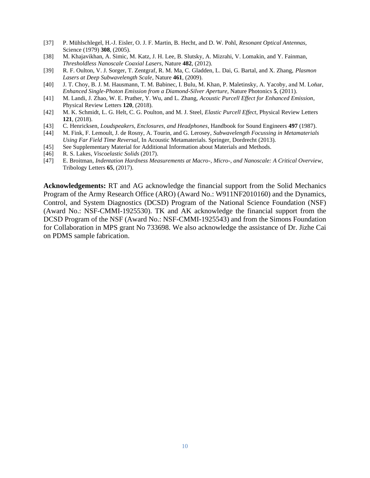- [37] P. Mühlschlegel, H.-J. Eisler, O. J. F. Martin, B. Hecht, and D. W. Pohl, *Resonant Optical Antennas*, Science (1979) **308**, (2005).
- [38] M. Khajavikhan, A. Simic, M. Katz, J. H. Lee, B. Slutsky, A. Mizrahi, V. Lomakin, and Y. Fainman, *Thresholdless Nanoscale Coaxial Lasers*, Nature **482**, (2012).
- [39] R. F. Oulton, V. J. Sorger, T. Zentgraf, R. M. Ma, C. Gladden, L. Dai, G. Bartal, and X. Zhang, *Plasmon Lasers at Deep Subwavelength Scale*, Nature **461**, (2009).
- [40] J. T. Choy, B. J. M. Hausmann, T. M. Babinec, I. Bulu, M. Khan, P. Maletinsky, A. Yacoby, and M. Loňar, *Enhanced Single-Photon Emission from a Diamond-Silver Aperture*, Nature Photonics **5**, (2011).
- [41] M. Landi, J. Zhao, W. E. Prather, Y. Wu, and L. Zhang, *Acoustic Purcell Effect for Enhanced Emission*, Physical Review Letters **120**, (2018).
- [42] M. K. Schmidt, L. G. Helt, C. G. Poulton, and M. J. Steel, *Elastic Purcell Effect*, Physical Review Letters **121**, (2018).
- [43] C. Henricksen, *Loudspeakers, Enclosures, and Headphones*, Handbook for Sound Engineers **497** (1987).
- [44] M. Fink, F. Lemoult, J. de Rosny, A. Tourin, and G. Lerosey, *Subwavelength Focussing in Metamaterials Using Far Field Time Reversal*, In Acoustic Metamaterials. Springer, Dordrecht (2013).
- [45] See Supplementary Material for Additional Information about Materials and Methods.
- [46] R. S. Lakes, *Viscoelastic Solids* (2017).
- [47] E. Broitman, *Indentation Hardness Measurements at Macro-, Micro-, and Nanoscale: A Critical Overview*, Tribology Letters **65**, (2017).

**Acknowledgements:** RT and AG acknowledge the financial support from the Solid Mechanics Program of the Army Research Office (ARO) (Award No.: W911NF2010160) and the Dynamics, Control, and System Diagnostics (DCSD) Program of the National Science Foundation (NSF) (Award No.: NSF-CMMI-1925530). TK and AK acknowledge the financial support from the DCSD Program of the NSF (Award No.: NSF-CMMI-1925543) and from the Simons Foundation for Collaboration in MPS grant No 733698. We also acknowledge the assistance of Dr. Jizhe Cai on PDMS sample fabrication.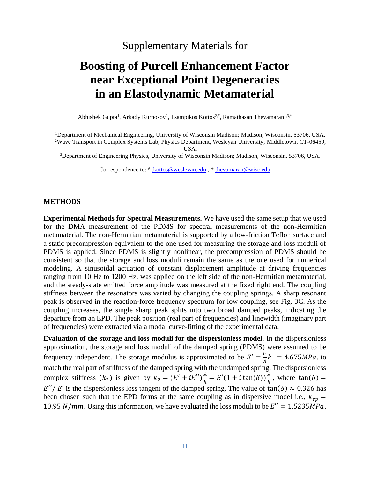# Supplementary Materials for

# **Boosting of Purcell Enhancement Factor near Exceptional Point Degeneracies in an Elastodynamic Metamaterial**

Abhishek Gupta<sup>1</sup>, Arkady Kurnosov<sup>2</sup>, Tsampikos Kottos<sup>2,#</sup>, Ramathasan Thevamaran<sup>1,3,\*</sup>

<sup>1</sup>Department of Mechanical Engineering, University of Wisconsin Madison; Madison, Wisconsin, 53706, USA. <sup>2</sup>Wave Transport in Complex Systems Lab, Physics Department, Wesleyan University; Middletown, CT-06459,

USA.

<sup>3</sup>Department of Engineering Physics, University of Wisconsin Madison; Madison, Wisconsin, 53706, USA.

Correspondence to:  $\frac{d}{dx}$  the *k* the *k* is the *k* is the *k* is the *k* and *k* is the *k* is the *k* is the *k* is the *k* is the *k* is the *k* is the *k* is the *k* is the *k* is the *k* is the *k* is the *k* is t

### **METHODS**

**Experimental Methods for Spectral Measurements.** We have used the same setup that we used for the DMA measurement of the PDMS for spectral measurements of the non-Hermitian metamaterial. The non-Hermitian metamaterial is supported by a low-friction Teflon surface and a static precompression equivalent to the one used for measuring the storage and loss moduli of PDMS is applied. Since PDMS is slightly nonlinear, the precompression of PDMS should be consistent so that the storage and loss moduli remain the same as the one used for numerical modeling. A sinusoidal actuation of constant displacement amplitude at driving frequencies ranging from 10 Hz to 1200 Hz, was applied on the left side of the non-Hermitian metamaterial, and the steady-state emitted force amplitude was measured at the fixed right end. The coupling stiffness between the resonators was varied by changing the coupling springs. A sharp resonant peak is observed in the reaction-force frequency spectrum for low coupling, see Fig. 3C. As the coupling increases, the single sharp peak splits into two broad damped peaks, indicating the departure from an EPD. The peak position (real part of frequencies) and linewidth (imaginary part of frequencies) were extracted via a modal curve-fitting of the experimental data.

**Evaluation of the storage and loss moduli for the dispersionless model.** In the dispersionless approximation, the storage and loss moduli of the damped spring (PDMS) were assumed to be frequency independent. The storage modulus is approximated to be  $E' = \frac{h}{\lambda}$  $\frac{n}{4}k_1 = 4.675 MPa$ , to match the real part of stiffness of the damped spring with the undamped spring. The dispersionless complex stiffness  $(k_2)$  is given by  $k_2 = (E' + iE'') \frac{A}{h}$  $\frac{A}{h} = E'(1 + i \tan(\delta)) \frac{A}{h}$  $\frac{A}{h}$ , where  $\tan(\delta) =$  $E''/ E'$  is the dispersionless loss tangent of the damped spring. The value of tan( $\delta$ )  $\approx 0.326$  has been chosen such that the EPD forms at the same coupling as in dispersive model i.e.,  $\kappa_{ep}$  = 10.95 *N*/*mm*. Using this information, we have evaluated the loss moduli to be  $E'' = 1.5235 MPa$ .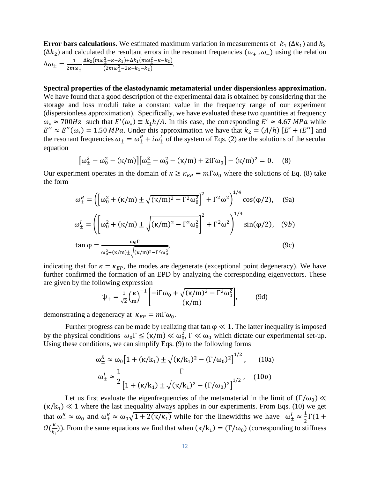**Error bars calculations.** We estimated maximum variation in measurements of  $k_1 (\Delta k_1)$  and  $k_2$ ( $\Delta k_2$ ) and calculated the resultant errors in the resonant frequencies ( $\omega_+$ ,  $\omega_-$ ) using the relation  $\Delta\omega_{\pm}=\frac{1}{2m}$  $2m\omega_{\pm}$  $\Delta k_2(m\omega_+^2-\kappa-k_1)+\Delta k_1(m\omega_+^2-\kappa-k_2)$  $\frac{1 + k - k_1 + 2k_1(m\omega_1 + k_2)}{(2m\omega_1^2 - 2k - k_1 - k_2)}$ 

**Spectral properties of the elastodynamic metamaterial under dispersionless approximation.**  We have found that a good description of the experimental data is obtained by considering that the storage and loss moduli take a constant value in the frequency range of our experiment (dispersionless approximation). Specifically, we have evaluated these two quantities at frequency  $\omega_* \approx 700$ Hz such that  $E'(\omega_*) \equiv k_1 h/A$ . In this case, the corresponding  $E' \approx 4.67$  MPa while  $E'' \approx E''(\omega_*) = 1.50 \text{ MPa}$ . Under this approximation we have that  $k_2 = (A/h) [E' + iE'']$  and the resonant frequencies  $\omega_{\pm} = \omega_{\pm}^R + i\omega_{\pm}^I$  of the system of Eqs. (2) are the solutions of the secular equation

$$
\left[\omega_{\pm}^2 - \omega_0^2 - (\kappa/m)\right] \left[\omega_{\pm}^2 - \omega_0^2 - (\kappa/m) + 2i\Gamma\omega_0\right] - (\kappa/m)^2 = 0. \quad (8)
$$

Our experiment operates in the domain of  $\kappa \ge \kappa_{EP} \equiv m\Gamma \omega_0$  where the solutions of Eq. (8) take the form

$$
\omega_{\pm}^{R} = \left( \left[ \omega_{0}^{2} + (\kappa/m) \pm \sqrt{(\kappa/m)^{2} - \Gamma^{2} \omega_{0}^{2}} \right]^{2} + \Gamma^{2} \omega^{2} \right)^{1/4} \cos(\varphi/2), \quad (9a)
$$
  

$$
\omega_{\pm}^{I} = \left( \left[ \omega_{0}^{2} + (\kappa/m) \pm \sqrt{(\kappa/m)^{2} - \Gamma^{2} \omega_{0}^{2}} \right]^{2} + \Gamma^{2} \omega^{2} \right)^{1/4} \sin(\varphi/2), \quad (9b)
$$
  

$$
\tan \varphi = \frac{\omega_{0} \Gamma}{\omega_{0}^{2} + (\kappa/m) \pm \sqrt{(\kappa/m)^{2} - \Gamma^{2} \omega_{0}^{2}}}, \quad (9c)
$$

indicating that for  $\kappa = \kappa_{EP}$ , the modes are degenerate (exceptional point degeneracy). We have further confirmed the formation of an EPD by analyzing the corresponding eigenvectors. These are given by the following expression

$$
\psi_{\mp} = \frac{1}{\sqrt{2}} \left(\frac{\kappa}{m}\right)^{-1} \left[ \frac{-i\Gamma\omega_0 \mp \sqrt{(\kappa/m)^2 - \Gamma^2\omega_0^2}}{(\kappa/m)} \right],\tag{9d}
$$

demonstrating a degeneracy at  $\kappa_{EP} = m\Gamma \omega_0$ .

Further progress can be made by realizing that tan  $\varphi \ll 1$ . The latter inequality is imposed by the physical conditions  $\omega_0 \Gamma \leq (\kappa/m) \ll \omega_0^2$ ,  $\Gamma \ll \omega_0$  which dictate our experimental set-up. Using these conditions, we can simplify Eqs. (9) to the following forms

$$
\omega_{\pm}^{R} \approx \omega_{0} \left[ 1 + (\kappa/k_{1}) \pm \sqrt{(\kappa/k_{1})^{2} - (\Gamma/\omega_{0})^{2}} \right]^{1/2}, \qquad (10a)
$$

$$
\omega_{\pm}^{I} \approx \frac{1}{2} \frac{\Gamma}{\left[ 1 + (\kappa/k_{1}) \pm \sqrt{(\kappa/k_{1})^{2} - (\Gamma/\omega_{0})^{2}} \right]^{1/2}}, \qquad (10b)
$$

Let us first evaluate the eigenfrequencies of the metamaterial in the limit of  $(\Gamma/\omega_0)$  «  $(\kappa/k_1) \ll 1$  where the last inequality always applies in our experiments. From Eqs. (10) we get that  $\omega_1^R \approx \omega_0$  and  $\omega_+^R \approx \omega_0 \sqrt{1+2(\kappa/k_1)}$  while for the linewidths we have  $\omega_{\pm}^I \approx \frac{1}{2}$  $\frac{1}{2}\Gamma(1 +$  $\mathcal{O}(\frac{\kappa}{\kappa})$  $\binom{k}{k_1}$ ). From the same equations we find that when  $(\kappa/k_1) = (\Gamma/\omega_0)$  (corresponding to stiffness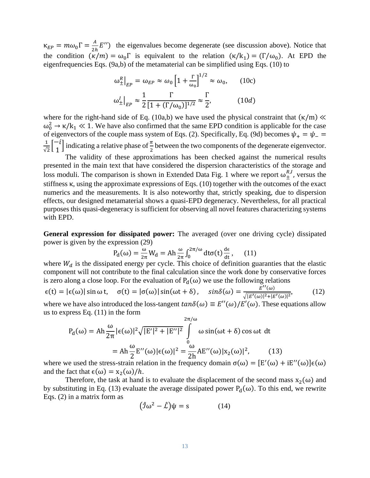$\kappa_{EP} = m\omega_0\Gamma = \frac{A}{2R}$  $\frac{A}{2h}E''$ ) the eigenvalues become degenerate (see discussion above). Notice that the condition  $(\kappa/m) = \omega_0 \Gamma$  is equivalent to the relation  $(\kappa/k_1) = (\Gamma/\omega_0)$ . At EPD the eigenfrequencies Eqs. (9a,b) of the metamaterial can be simplified using Eqs. (10) to

$$
\omega_{\pm}^{R}|_{EP} = \omega_{EP} \approx \omega_0 \left[ 1 + \frac{\Gamma}{\omega_0} \right]^{1/2} \approx \omega_0, \qquad (10c)
$$

$$
\omega_{\pm}^{I}|_{EP} \approx \frac{1}{2} \frac{\Gamma}{[1 + (\Gamma/\omega_0)]^{1/2}} \approx \frac{\Gamma}{2}, \qquad (10d)
$$

where for the right-hand side of Eq. (10a,b) we have used the physical constraint that  $(\kappa/m) \ll$  $ω_0^2$   $\rightarrow$  κ/k<sub>1</sub>  $\ll$  1. We have also confirmed that the same EPD condition is applicable for the case of eigenvectors of the couple mass system of Eqs. (2). Specifically, Eq. (9d) becomes  $\psi_{+} = \psi_{-} =$ 1  $\frac{1}{\sqrt{2}}\begin{bmatrix} -i \\ 1 \end{bmatrix}$  $\begin{bmatrix} -i \\ 1 \end{bmatrix}$  indicating a relative phase of  $\frac{\pi}{2}$  between the two components of the degenerate eigenvector.

The validity of these approximations has been checked against the numerical results presented in the main text that have considered the dispersion characteristics of the storage and loss moduli. The comparison is shown in Extended Data Fig. 1 where we report  $\omega_{\pm}^{R,I}$ , versus the stiffness κ, using the approximate expressions of Eqs. (10) together with the outcomes of the exact numerics and the measurements. It is also noteworthy that, strictly speaking, due to dispersion effects, our designed metamaterial shows a quasi-EPD degeneracy. Nevertheless, for all practical purposes this quasi-degeneracy is sufficient for observing all novel features characterizing systems with EPD.

General expression for dissipated power: The averaged (over one driving cycle) dissipated power is given by the expression (29)

$$
P_d(\omega) = \frac{\omega}{2\pi} W_d = Ah \frac{\omega}{2\pi} \int_0^{2\pi/\omega} dt \sigma(t) \frac{d\epsilon}{dt}, \quad (11)
$$

where  $W_d$  is the dissipated energy per cycle. This choice of definition guaranties that the elastic component will not contribute to the final calculation since the work done by conservative forces is zero along a close loop. For the evaluation of  $P_d(\omega)$  we use the following relations

$$
\epsilon(t) = |\epsilon(\omega)| \sin \omega t, \quad \sigma(t) = |\sigma(\omega)| \sin(\omega t + \delta), \quad \sin \delta(\omega) = \frac{E''(\omega)}{\sqrt{|E'(\omega)|^2 + |E'(\omega)|^2}}, \tag{12}
$$

where we have also introduced the loss-tangent  $tan \delta(\omega) \equiv E''(\omega)/E'(\omega)$ . These equations allow us to express Eq. (11) in the form

$$
P_d(\omega) = Ah \frac{\omega}{2\pi} |\epsilon(\omega)|^2 \sqrt{|E'|^2 + |E''|^2} \int_0^{2\pi/\omega} \omega \sin(\omega t + \delta) \cos \omega t \ dt
$$
  
=  $Ah \frac{\omega}{2} E''(\omega) |\epsilon(\omega)|^2 = \frac{\omega}{2h} AE''(\omega) |x_2(\omega)|^2,$  (13)

where we used the stress-strain relation in the frequency domain  $\sigma(\omega) = [E'(\omega) + iE''(\omega)]\epsilon(\omega)$ and the fact that  $\epsilon(\omega) = x_2(\omega)/h$ .

Therefore, the task at hand is to evaluate the displacement of the second mass  $x_2(\omega)$  and by substituting in Eq. (13) evaluate the average dissipated power  $P_d(\omega)$ . To this end, we rewrite Eqs. (2) in a matrix form as

$$
(\hat{\jmath}\omega^2 - \hat{\mathcal{L}})\psi = s \tag{14}
$$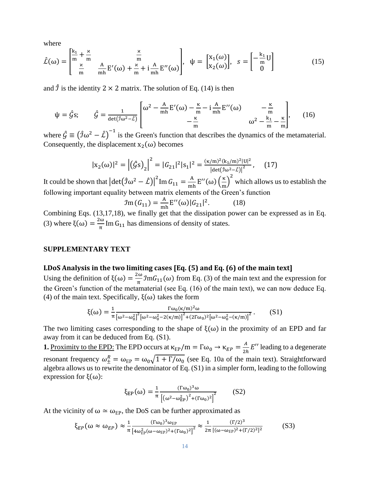where

$$
\hat{\mathcal{L}}(\omega) = \begin{bmatrix} \frac{k_1}{m} + \frac{\kappa}{m} & \frac{\kappa}{m} \\ \frac{\kappa}{m} & \frac{A}{m} E'(\omega) + \frac{\kappa}{m} + i \frac{A}{mh} E''(\omega) \end{bmatrix}, \quad \psi = \begin{bmatrix} x_1(\omega) \\ x_2(\omega) \end{bmatrix}, \quad s = \begin{bmatrix} -\frac{k_1}{m} U \\ 0 \end{bmatrix}
$$
(15)

and  $\hat{\jmath}$  is the identity 2 × 2 matrix. The solution of Eq. (14) is then

$$
\psi = \hat{G} s; \qquad \hat{G} = \frac{1}{\det(\hat{\jmath}\omega^2 - \hat{L})} \begin{bmatrix} \omega^2 - \frac{A}{mh} E'(\omega) - \frac{\kappa}{m} - i \frac{A}{mh} E''(\omega) & -\frac{\kappa}{m} \\ -\frac{\kappa}{m} & \omega^2 - \frac{k_1}{m} - \frac{\kappa}{m} \end{bmatrix}, \qquad (16)
$$

where  $\hat{G} \equiv (\hat{\jmath}\omega^2 - \hat{\mathcal{L}})^{-1}$  is the Green's function that describes the dynamics of the metamaterial. Consequently, the displacement  $x_2(\omega)$  becomes

$$
|x_2(\omega)|^2 = |(\hat{G}s)_2|^2 = |G_{21}|^2 |s_1|^2 = \frac{(\kappa/m)^2 (k_1/m)^2 |U|^2}{|\det(\hat{J}\omega^2 - \hat{L})|^2}, \quad (17)
$$

It could be shown that  $\left|\det(\hat{\jmath}\omega^2 - \hat{\mathcal{L}})\right|^2$ Im  $G_{11} = \frac{A}{mh} E''(\omega) \left(\frac{\kappa}{m}\right)$  $\left(\frac{\kappa}{m}\right)^2$  which allows us to establish the following important equality between matrix elements of the Green's function

$$
\mathcal{I}\text{m}\left(G_{11}\right) = \frac{\text{A}}{\text{mh}}\text{E}''(\omega)|G_{21}|^2. \tag{18}
$$

Combining Eqs. (13,17,18), we finally get that the dissipation power can be expressed as in Eq. (3) where  $\xi(\omega) = \frac{2\omega}{\tau}$  $\frac{\pi}{\pi}$  Im G<sub>11</sub> has dimensions of density of states.

### **SUPPLEMENTARY TEXT**

### **LDoS Analysis in the two limiting cases [Eq. (5) and Eq. (6) of the main text]**

Using the definition of  $\xi(\omega) = \frac{2\omega}{\tau}$  $\frac{\pi}{\pi}$  *fmG*<sub>11</sub>( $\omega$ ) from Eq. (3) of the main text and the expression for the Green's function of the metamaterial (see Eq. (16) of the main text), we can now deduce Eq. (4) of the main text. Specifically,  $\xi(\omega)$  takes the form

$$
\xi(\omega) = \frac{1}{\pi} \frac{\Gamma \omega_0 (\kappa/m)^2 \omega}{\left[\omega^2 - \omega_0^2\right]^2 \left[\omega^2 - \omega_0^2 - 2(\kappa/m)\right]^2 + (2\Gamma \omega_0)^2 \left[\omega^2 - \omega_0^2 - (\kappa/m)\right]^2}.
$$
 (S1)

The two limiting cases corresponding to the shape of  $\xi(\omega)$  in the proximity of an EPD and far away from it can be deduced from Eq. (S1).

**1.** Proximity to the EPD: The EPD occurs at  $\kappa_{EP}/m = \Gamma \omega_0 \rightarrow \kappa_{EP} = \frac{A}{2R}$  $\frac{A}{2h} E''$  leading to a degenerate resonant frequency  $\omega_{\pm}^R = \omega_{\rm EP} = \omega_0 \sqrt{1 + \Gamma/\omega_0}$  (see Eq. 10a of the main text). Straightforward algebra allows us to rewrite the denominator of Eq. (S1) in a simpler form, leading to the following expression for  $\xi(\omega)$ :

$$
\xi_{EP}(\omega) = \frac{1}{\pi} \frac{(\Gamma \omega_0)^3 \omega}{\left[ \left( \omega^2 - \omega_{EP}^2 \right)^2 + (\Gamma \omega_0)^2 \right]^2} \tag{S2}
$$

At the vicinity of  $\omega \simeq \omega_{EP}$ , the DoS can be further approximated as

$$
\xi_{EP}(\omega \approx \omega_{EP}) \approx \frac{1}{\pi} \frac{(\Gamma \omega_0)^3 \omega_{EP}}{\left[4 \omega_{EP}^2 (\omega - \omega_{EP})^2 + (\Gamma \omega_0)^2\right]^2} \approx \frac{1}{2\pi} \frac{(\Gamma/2)^3}{\left[(\omega - \omega_{EP})^2 + (\Gamma/2)^2\right]^2}
$$
(S3)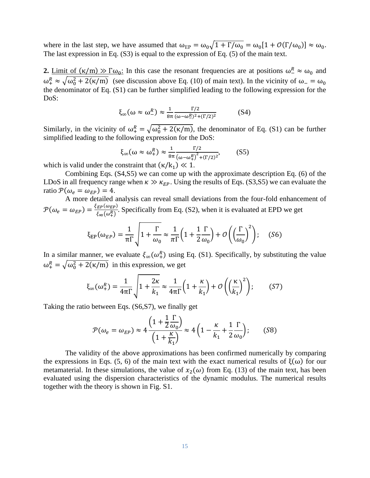where in the last step, we have assumed that  $\omega_{EP} = \omega_0 \sqrt{1 + \Gamma/\omega_0} = \omega_0 [1 + \mathcal{O}(\Gamma/\omega_0)] \approx \omega_0$ . The last expression in Eq. (S3) is equal to the expression of Eq. (5) of the main text.

**2.** Limit of  $(\kappa/m) \gg \Gamma \omega_0$ : In this case the resonant frequencies are at positions  $\omega_0^R \approx \omega_0$  and  $\omega_+^R \approx \sqrt{\omega_0^2 + 2(\kappa/m)}$  (see discussion above Eq. (10) of main text). In the vicinity of  $\omega_- = \omega_0$ the denominator of Eq. (S1) can be further simplified leading to the following expression for the DoS:

$$
\xi_{\infty}(\omega \approx \omega_-^R) \approx \frac{1}{8\pi} \frac{\Gamma/2}{(\omega - \omega_-^R)^2 + (\Gamma/2)^2}
$$
 (S4)

Similarly, in the vicinity of  $\omega_+^R = \sqrt{\omega_0^2 + 2(\kappa/m)}$ , the denominator of Eq. (S1) can be further simplified leading to the following expression for the DoS:

$$
\xi_{\infty}(\omega \approx \omega_+^R) \approx \frac{1}{8\pi} \frac{\Gamma/2}{\left(\omega - \omega_+^R\right)^2 + \left(\Gamma/2\right)^2},\tag{S5}
$$

which is valid under the constraint that  $(\kappa/k_1) \ll 1$ .

Combining Eqs. (S4,S5) we can come up with the approximate description Eq. (6) of the LDoS in all frequency range when  $\kappa \gg \kappa_{EP}$ . Using the results of Eqs. (S3,S5) we can evaluate the ratio  $\mathcal{P}(\omega_e = \omega_{EP}) = 4$ .

A more detailed analysis can reveal small deviations from the four-fold enhancement of  $\mathcal{P}(\omega_e = \omega_{EP}) = \frac{\xi_{EP}(\omega_{EP})}{\xi_{\text{C}}(\omega_{EP})}$  $\frac{E P(wE P)}{\xi_{\infty}(\omega_{+}^{R})}$ . Specifically from Eq. (S2), when it is evaluated at EPD we get

$$
\xi_{EP}(\omega_{EP}) = \frac{1}{\pi \Gamma} \sqrt{1 + \frac{\Gamma}{\omega_0} \approx \frac{1}{\pi \Gamma} \left(1 + \frac{1}{2} \frac{\Gamma}{\omega_0}\right) + \mathcal{O}\left(\left(\frac{\Gamma}{\omega_0}\right)^2\right)}; \quad (S6)
$$

In a similar manner, we evaluate  $\xi_{\infty}(\omega_{+}^{R})$  using Eq. (S1). Specifically, by substituting the value  $\omega_+^R = \sqrt{\omega_0^2 + 2(\kappa/m)}$  in this expression, we get

$$
\xi_{\infty}(\omega_{+}^{R}) = \frac{1}{4\pi\Gamma} \sqrt{1 + \frac{2\kappa}{k_{1}}} \approx \frac{1}{4\pi\Gamma} \left(1 + \frac{\kappa}{k_{1}}\right) + \mathcal{O}\left(\left(\frac{\kappa}{k_{1}}\right)^{2}\right); \quad (S7)
$$

Taking the ratio between Eqs. (S6,S7), we finally get

$$
\mathcal{P}(\omega_e = \omega_{EP}) \approx 4 \frac{\left(1 + \frac{1}{2} \frac{\Gamma}{\omega_0}\right)}{\left(1 + \frac{\kappa}{k_1}\right)} \approx 4 \left(1 - \frac{\kappa}{k_1} + \frac{1}{2} \frac{\Gamma}{\omega_0}\right); \quad (S8)
$$

The validity of the above approximations has been confirmed numerically by comparing the expressions in Eqs. (5, 6) of the main text with the exact numerical results of  $\xi(\omega)$  for our metamaterial. In these simulations, the value of  $x_2(\omega)$  from Eq. (13) of the main text, has been evaluated using the dispersion characteristics of the dynamic modulus. The numerical results together with the theory is shown in Fig. S1.